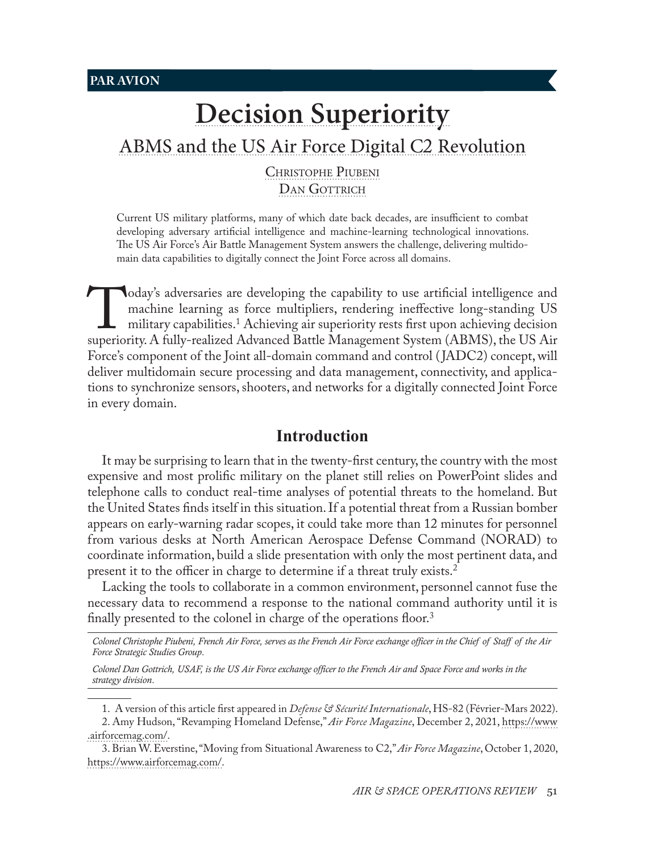**PAR AVION**

# **[Decision Superiority](#page-0-0)** [ABMS and the US Air Force Digital C](#page-0-0)2 Revolution

[Christophe](#page-0-0) Piubeni DAN GOTTRICH

Current US military platforms, many of which date back decades, are insufficient to combat developing adversary artificial intelligence and machine-learning technological innovations. The US Air Force's Air Battle Management System answers the challenge, delivering multidomain data capabilities to digitally connect the Joint Force across all domains.

Today's adversaries are developing the capability to use artificial intelligence and machine learning as force multipliers, rendering ineffective long-standing US military capabilities.<sup>1</sup> Achieving air superiority rests f machine learning as force multipliers, rendering ineffective long-standing US military capabilities.1 Achieving air superiority rests first upon achieving decision Force's component of the Joint all-domain command and control ( JADC2) concept, will deliver multidomain secure processing and data management, connectivity, and applications to synchronize sensors, shooters, and networks for a digitally connected Joint Force in every domain.

## **Introduction**

It may be surprising to learn that in the twenty-first century, the country with the most expensive and most prolific military on the planet still relies on PowerPoint slides and telephone calls to conduct real-time analyses of potential threats to the homeland. But the United States finds itself in this situation. If a potential threat from a Russian bomber appears on early-warning radar scopes, it could take more than 12 minutes for personnel from various desks at North American Aerospace Defense Command (NORAD) to coordinate information, build a slide presentation with only the most pertinent data, and present it to the officer in charge to determine if a threat truly exists.2

Lacking the tools to collaborate in a common environment, personnel cannot fuse the necessary data to recommend a response to the national command authority until it is finally presented to the colonel in charge of the operations floor.<sup>3</sup>

*Colonel Christophe Piubeni, French Air Force, serves as the French Air Force exchange officer in the Chief of Staff of the Air Force Strategic Studies Group*.

*Colonel Dan Gottrich, USAF, is the US Air Force exchange officer to the French Air and Space Force and works in the strategy division*.

1. A version of this article first appeared in *Defense & Sécurité Internationale*, HS-82 (Février-Mars 2022).

<span id="page-0-0"></span>3. Brian W. Everstine, "Moving from Situational Awareness to C2," *Air Force Magazine*, October 1, 2020, [https://www.airforcemag.com/.](https://www.airforcemag.com/article/moving-from-situational-awareness-to-c2/)

<sup>2.</sup> Amy Hudson, "Revamping Homeland Defense," *Air Force Magazine*, December 2, 2021, [https://www](https://www.airforcemag.com/article/revamping-homeland-defense/) [.airforcemag.com/.](https://www.airforcemag.com/article/revamping-homeland-defense/)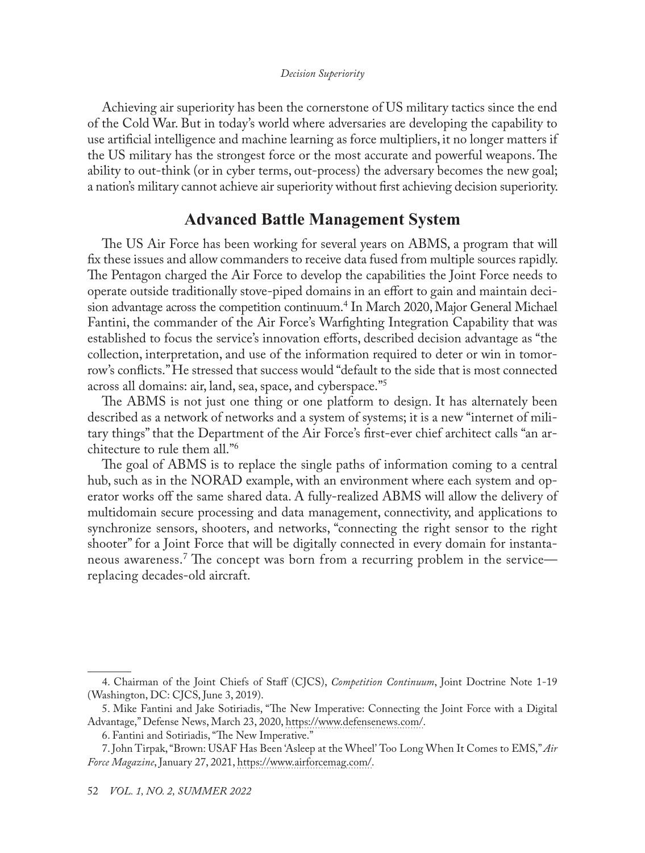#### *Decision Superiority*

Achieving air superiority has been the cornerstone of US military tactics since the end of the Cold War. But in today's world where adversaries are developing the capability to use artificial intelligence and machine learning as force multipliers, it no longer matters if the US military has the strongest force or the most accurate and powerful weapons. The ability to out-think (or in cyber terms, out-process) the adversary becomes the new goal; a nation's military cannot achieve air superiority without first achieving decision superiority.

## **Advanced Battle Management System**

The US Air Force has been working for several years on ABMS, a program that will fix these issues and allow commanders to receive data fused from multiple sources rapidly. The Pentagon charged the Air Force to develop the capabilities the Joint Force needs to operate outside traditionally stove-piped domains in an effort to gain and maintain decision advantage across the competition continuum.4 In March 2020, Major General Michael Fantini, the commander of the Air Force's Warfighting Integration Capability that was established to focus the service's innovation efforts, described decision advantage as "the collection, interpretation, and use of the information required to deter or win in tomorrow's conflicts." He stressed that success would "default to the side that is most connected across all domains: air, land, sea, space, and cyberspace."5

The ABMS is not just one thing or one platform to design. It has alternately been described as a network of networks and a system of systems; it is a new "internet of military things" that the Department of the Air Force's first-ever chief architect calls "an architecture to rule them all."6

The goal of ABMS is to replace the single paths of information coming to a central hub, such as in the NORAD example, with an environment where each system and operator works off the same shared data. A fully-realized ABMS will allow the delivery of multidomain secure processing and data management, connectivity, and applications to synchronize sensors, shooters, and networks, "connecting the right sensor to the right shooter" for a Joint Force that will be digitally connected in every domain for instantaneous awareness.<sup>7</sup> The concept was born from a recurring problem in the service replacing decades-old aircraft.

<sup>4.</sup> Chairman of the Joint Chiefs of Staff (CJCS), *Competition Continuum*, Joint Doctrine Note 1-19 (Washington, DC: CJCS, June 3, 2019).

<sup>5.</sup> Mike Fantini and Jake Sotiriadis, "The New Imperative: Connecting the Joint Force with a Digital Advantage," Defense News, March 23, 2020, [https://www.defensenews.com/](https://www.defensenews.com/opinion/2020/03/23/the-new-imperative-connecting-the-joint-force-with-a-digital-advantage/).

<sup>6.</sup> Fantini and Sotiriadis, "The New Imperative."

<sup>7.</sup> John Tirpak, "Brown: USAF Has Been 'Asleep at the Wheel' Too Long When It Comes to EMS," *Air Force Magazine*, January 27, 2021, [https://www.airforcemag.com/.](https://www.airforcemag.com/brown-usaf-has-been-asleep-at-the-wheel-too-long-when-it-comes-to-ems/)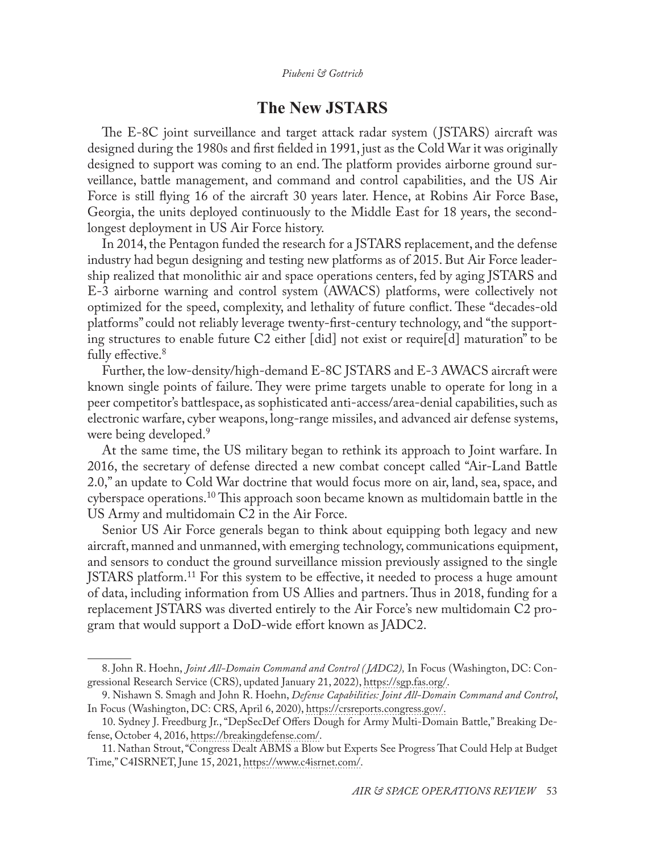# **The New JSTARS**

The E-8C joint surveillance and target attack radar system ( JSTARS) aircraft was designed during the 1980s and first fielded in 1991, just as the Cold War it was originally designed to support was coming to an end. The platform provides airborne ground surveillance, battle management, and command and control capabilities, and the US Air Force is still flying 16 of the aircraft 30 years later. Hence, at Robins Air Force Base, Georgia, the units deployed continuously to the Middle East for 18 years, the second longest deployment in US Air Force history.

In 2014, the Pentagon funded the research for a JSTARS replacement, and the defense industry had begun designing and testing new platforms as of 2015. But Air Force leadership realized that monolithic air and space operations centers, fed by aging JSTARS and E-3 airborne warning and control system (AWACS) platforms, were collectively not optimized for the speed, complexity, and lethality of future conflict. These "decades-old platforms" could not reliably leverage twenty-first-century technology, and "the supporting structures to enable future C2 either [did] not exist or require[d] maturation" to be fully effective.<sup>8</sup>

Further, the low-density/high-demand E-8C JSTARS and E-3 AWACS aircraft were known single points of failure. They were prime targets unable to operate for long in a peer competitor's battlespace, as sophisticated anti-access/area-denial capabilities, such as electronic warfare, cyber weapons, long-range missiles, and advanced air defense systems, were being developed.<sup>9</sup>

At the same time, the US military began to rethink its approach to Joint warfare. In 2016, the secretary of defense directed a new combat concept called "Air-Land Battle 2.0," an update to Cold War doctrine that would focus more on air, land, sea, space, and cyberspace operations.10 This approach soon became known as multidomain battle in the US Army and multidomain C2 in the Air Force.

Senior US Air Force generals began to think about equipping both legacy and new aircraft, manned and unmanned, with emerging technology, communications equipment, and sensors to conduct the ground surveillance mission previously assigned to the single JSTARS platform.<sup>11</sup> For this system to be effective, it needed to process a huge amount of data, including information from US Allies and partners. Thus in 2018, funding for a replacement JSTARS was diverted entirely to the Air Force's new multidomain C2 program that would support a DoD-wide effort known as JADC2.

<sup>8.</sup> John R. Hoehn, *Joint All-Domain Command and Control ( JADC2),* In Focus (Washington, DC: Congressional Research Service (CRS), updated January 21, 2022), [https://sgp.fas.org/.](https://sgp.fas.org/crs/natsec/IF11493.pdf)

<sup>9.</sup> Nishawn S. Smagh and John R. Hoehn, *Defense Capabilities: Joint All-Domain Command and Control*, In Focus (Washington, DC: CRS, April 6, 2020), [https://crsreports.congress.gov/](https://crsreports.congress.gov/product/pdf/IF/IF11493/2).

<sup>10.</sup> Sydney J. Freedburg Jr., "DepSecDef Offers Dough for Army Multi-Domain Battle," Breaking Defense, October 4, 2016, [https://breakingdefense.com/.](https://breakingdefense.com/2016/10/depsecdef-work-offers-dough-for-army-multi-domain-battle/)

<sup>11.</sup> Nathan Strout, "Congress Dealt ABMS a Blow but Experts See Progress That Could Help at Budget Time," C4ISRNET, June 15, 2021, [https://www.c4isrnet.com/.](https://www.c4isrnet.com/battlefield-tech/c2-comms/2021/06/15/part-2-congress-dealt-abms-a-blow-but-experts-see-progress/)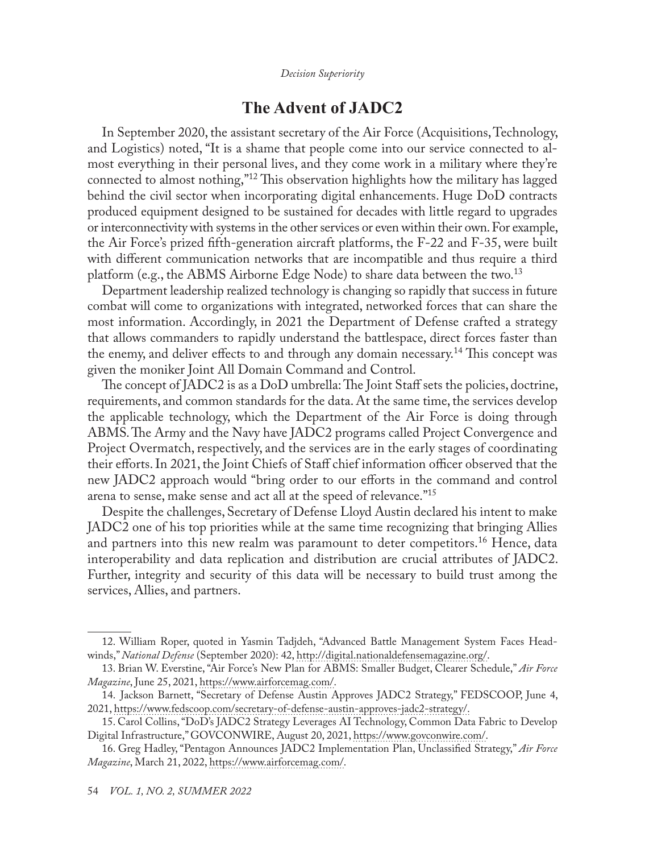*Decision Superiority*

# **The Advent of JADC2**

In September 2020, the assistant secretary of the Air Force (Acquisitions, Technology, and Logistics) noted, "It is a shame that people come into our service connected to almost everything in their personal lives, and they come work in a military where they're connected to almost nothing,"12 This observation highlights how the military has lagged behind the civil sector when incorporating digital enhancements. Huge DoD contracts produced equipment designed to be sustained for decades with little regard to upgrades or interconnectivity with systems in the other services or even within their own. For example, the Air Force's prized fifth-generation aircraft platforms, the F-22 and F-35, were built with different communication networks that are incompatible and thus require a third platform (e.g., the ABMS Airborne Edge Node) to share data between the two.<sup>13</sup>

Department leadership realized technology is changing so rapidly that success in future combat will come to organizations with integrated, networked forces that can share the most information. Accordingly, in 2021 the Department of Defense crafted a strategy that allows commanders to rapidly understand the battlespace, direct forces faster than the enemy, and deliver effects to and through any domain necessary.<sup>14</sup> This concept was given the moniker Joint All Domain Command and Control.

The concept of JADC2 is as a DoD umbrella: The Joint Staff sets the policies, doctrine, requirements, and common standards for the data. At the same time, the services develop the applicable technology, which the Department of the Air Force is doing through ABMS. The Army and the Navy have JADC2 programs called Project Convergence and Project Overmatch, respectively, and the services are in the early stages of coordinating their efforts. In 2021, the Joint Chiefs of Staff chief information officer observed that the new JADC2 approach would "bring order to our efforts in the command and control arena to sense, make sense and act all at the speed of relevance."15

Despite the challenges, Secretary of Defense Lloyd Austin declared his intent to make JADC2 one of his top priorities while at the same time recognizing that bringing Allies and partners into this new realm was paramount to deter competitors.<sup>16</sup> Hence, data interoperability and data replication and distribution are crucial attributes of JADC2. Further, integrity and security of this data will be necessary to build trust among the services, Allies, and partners.

<sup>12.</sup> William Roper, quoted in Yasmin Tadjdeh, "Advanced Battle Management System Faces Headwinds," *National Defense* (September 2020): 42, [http://digital.nationaldefensemagazine.org/](http://digital.nationaldefensemagazine.org/publication/?i=671558&p=44).

<sup>13.</sup> Brian W. Everstine, "Air Force's New Plan for ABMS: Smaller Budget, Clearer Schedule," *Air Force Magazine*, June 25, 2021, [https://www.airforcemag.com/.](https://www.airforcemag.com/air-forces-new-plan-for-abms-smaller-budget-clearer-schedule/)

<sup>14.</sup> Jackson Barnett, "Secretary of Defense Austin Approves JADC2 Strategy," FEDSCOOP, June 4, 2021, [https://www.fedscoop.com/secretary-of-defense-austin-approves-jadc2-strategy/.](https://www.fedscoop.com/secretary-of-defense-austin-approves-jadc2-strategy/)

<sup>15.</sup> Carol Collins, "DoD's JADC2 Strategy Leverages AI Technology, Common Data Fabric to Develop Digital Infrastructure," GOVCONWIRE, August 20, 2021, [https://www.govconwire.com/.](https://www.govconwire.com/2021/08/dod-jadc2-concept-seeks-to-use-ai-common-data-fabric-for-digital-infrastructure/)

<sup>16.</sup> Greg Hadley, "Pentagon Announces JADC2 Implementation Plan, Unclassified Strategy," *Air Force Magazine*, March 21, 2022, [https://www.airforcemag.com/](https://www.airforcemag.com/pentagon-announces-classified-jadc2-implementation-plan-unclassified-strategy/).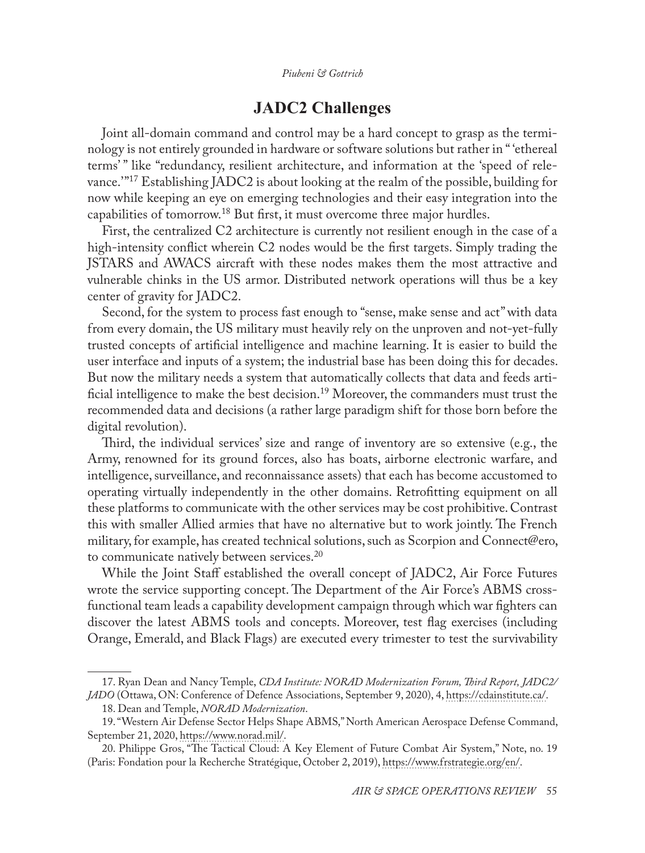# **JADC2 Challenges**

Joint all-domain command and control may be a hard concept to grasp as the terminology is not entirely grounded in hardware or software solutions but rather in " 'ethereal terms' " like "redundancy, resilient architecture, and information at the 'speed of relevance.' "17 Establishing JADC2 is about looking at the realm of the possible, building for now while keeping an eye on emerging technologies and their easy integration into the capabilities of tomorrow.<sup>18</sup> But first, it must overcome three major hurdles.

First, the centralized C2 architecture is currently not resilient enough in the case of a high-intensity conflict wherein C2 nodes would be the first targets. Simply trading the JSTARS and AWACS aircraft with these nodes makes them the most attractive and vulnerable chinks in the US armor. Distributed network operations will thus be a key center of gravity for JADC2.

Second, for the system to process fast enough to "sense, make sense and act" with data from every domain, the US military must heavily rely on the unproven and not-yet-fully trusted concepts of artificial intelligence and machine learning. It is easier to build the user interface and inputs of a system; the industrial base has been doing this for decades. But now the military needs a system that automatically collects that data and feeds artificial intelligence to make the best decision.<sup>19</sup> Moreover, the commanders must trust the recommended data and decisions (a rather large paradigm shift for those born before the digital revolution).

Third, the individual services' size and range of inventory are so extensive (e.g., the Army, renowned for its ground forces, also has boats, airborne electronic warfare, and intelligence, surveillance, and reconnaissance assets) that each has become accustomed to operating virtually independently in the other domains. Retrofitting equipment on all these platforms to communicate with the other services may be cost prohibitive. Contrast this with smaller Allied armies that have no alternative but to work jointly. The French military, for example, has created technical solutions, such as Scorpion and Connect@ero, to communicate natively between services.<sup>20</sup>

While the Joint Staff established the overall concept of JADC2, Air Force Futures wrote the service supporting concept. The Department of the Air Force's ABMS crossfunctional team leads a capability development campaign through which war fighters can discover the latest ABMS tools and concepts. Moreover, test flag exercises (including Orange, Emerald, and Black Flags) are executed every trimester to test the survivability

<sup>17.</sup> Ryan Dean and Nancy Temple, *CDA Institute: NORAD Modernization Forum, Third Report, JADC2/ JADO* (Ottawa, ON: Conference of Defence Associations, September 9, 2020), 4, [https://cdainstitute.ca/](https://cdainstitute.ca/wp-content/uploads/2020/10/JADC2JADO-CDAI-OCT-28.pdf).

<sup>18.</sup> Dean and Temple, *NORAD Modernization*.

<sup>19. &</sup>quot;Western Air Defense Sector Helps Shape ABMS," North American Aerospace Defense Command, September 21, 2020, [https://www.norad.mil/.](https://www.norad.mil/Newsroom/Article/2359676/western-air-defense-sector-helps-shape-abms/)

<sup>20.</sup> Philippe Gros, "The Tactical Cloud: A Key Element of Future Combat Air System," Note, no. 19 (Paris: Fondation pour la Recherche Stratégique, October 2, 2019), [https://www.frstrategie.org/en/.](https://www.frstrategie.org/en/publications/notes/tactical-cloud-key-element-future-combat-air-system-2019)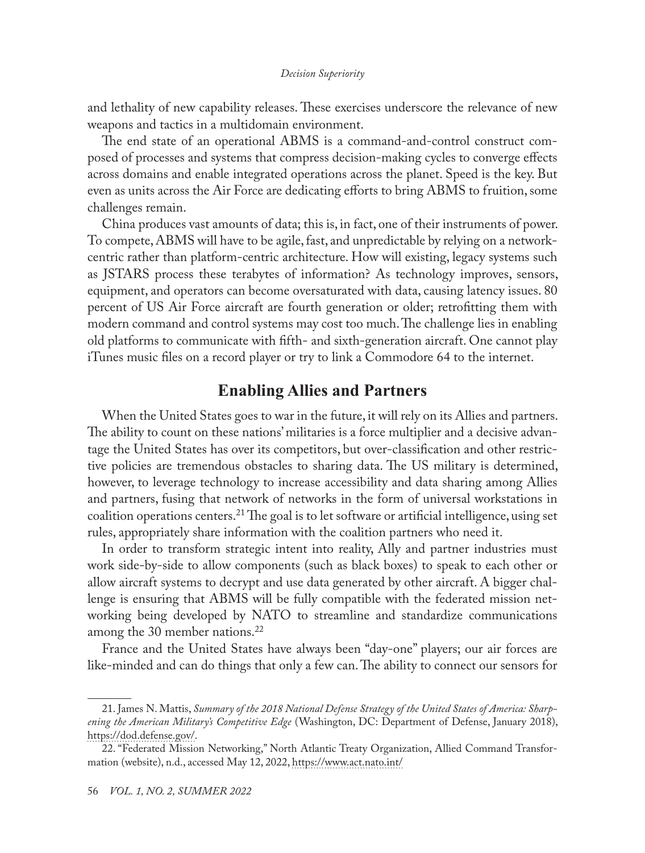and lethality of new capability releases. These exercises underscore the relevance of new weapons and tactics in a multidomain environment.

The end state of an operational ABMS is a command-and-control construct composed of processes and systems that compress decision-making cycles to converge effects across domains and enable integrated operations across the planet. Speed is the key. But even as units across the Air Force are dedicating efforts to bring ABMS to fruition, some challenges remain.

China produces vast amounts of data; this is, in fact, one of their instruments of power. To compete, ABMS will have to be agile, fast, and unpredictable by relying on a networkcentric rather than platform-centric architecture. How will existing, legacy systems such as JSTARS process these terabytes of information? As technology improves, sensors, equipment, and operators can become oversaturated with data, causing latency issues. 80 percent of US Air Force aircraft are fourth generation or older; retrofitting them with modern command and control systems may cost too much. The challenge lies in enabling old platforms to communicate with fifth- and sixth-generation aircraft. One cannot play iTunes music files on a record player or try to link a Commodore 64 to the internet.

# **Enabling Allies and Partners**

When the United States goes to war in the future, it will rely on its Allies and partners. The ability to count on these nations' militaries is a force multiplier and a decisive advantage the United States has over its competitors, but over-classification and other restrictive policies are tremendous obstacles to sharing data. The US military is determined, however, to leverage technology to increase accessibility and data sharing among Allies and partners, fusing that network of networks in the form of universal workstations in coalition operations centers.<sup>21</sup> The goal is to let software or artificial intelligence, using set rules, appropriately share information with the coalition partners who need it.

In order to transform strategic intent into reality, Ally and partner industries must work side-by-side to allow components (such as black boxes) to speak to each other or allow aircraft systems to decrypt and use data generated by other aircraft. A bigger challenge is ensuring that ABMS will be fully compatible with the federated mission networking being developed by NATO to streamline and standardize communications among the 30 member nations.<sup>22</sup>

France and the United States have always been "day-one" players; our air forces are like-minded and can do things that only a few can. The ability to connect our sensors for

<sup>21.</sup> James N. Mattis, *Summary of the 2018 National Defense Strategy of the United States of America: Sharpening the American Military's Competitive Edge* (Washington, DC: Department of Defense, January 2018), [https://dod.defense.gov/](https://dod.defense.gov/Portals/1/Documents/pubs/2018-National-Defense-Strategy-Summary.pdf).

<sup>22. &</sup>quot;Federated Mission Networking," North Atlantic Treaty Organization, Allied Command Transformation (website), n.d., accessed May 12, 2022, [https://www.act.nato.int/](https://www.act.nato.int/activities/fmn)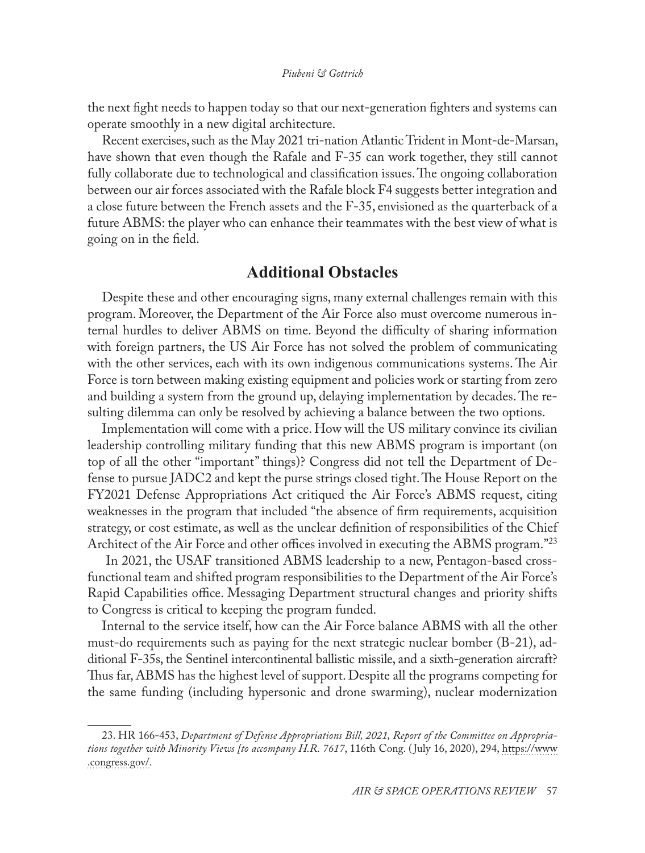the next fight needs to happen today so that our next-generation fighters and systems can operate smoothly in a new digital architecture.

Recent exercises, such as the May 2021 tri-nation Atlantic Trident in Mont-de-Marsan, have shown that even though the Rafale and F-35 can work together, they still cannot fully collaborate due to technological and classification issues. The ongoing collaboration between our air forces associated with the Rafale block F4 suggests better integration and a close future between the French assets and the F-35, envisioned as the quarterback of a future ABMS: the player who can enhance their teammates with the best view of what is going on in the field.

# **Additional Obstacles**

Despite these and other encouraging signs, many external challenges remain with this program. Moreover, the Department of the Air Force also must overcome numerous internal hurdles to deliver ABMS on time. Beyond the difficulty of sharing information with foreign partners, the US Air Force has not solved the problem of communicating with the other services, each with its own indigenous communications systems. The Air Force is torn between making existing equipment and policies work or starting from zero and building a system from the ground up, delaying implementation by decades. The resulting dilemma can only be resolved by achieving a balance between the two options.

Implementation will come with a price. How will the US military convince its civilian leadership controlling military funding that this new ABMS program is important (on top of all the other "important" things)? Congress did not tell the Department of Defense to pursue JADC2 and kept the purse strings closed tight. The House Report on the FY2021 Defense Appropriations Act critiqued the Air Force's ABMS request, citing weaknesses in the program that included "the absence of firm requirements, acquisition strategy, or cost estimate, as well as the unclear definition of responsibilities of the Chief Architect of the Air Force and other offices involved in executing the ABMS program."<sup>23</sup>

In 2021, the USAF transitioned ABMS leadership to a new, Pentagon-based crossfunctional team and shifted program responsibilities to the Department of the Air Force's Rapid Capabilities office. Messaging Department structural changes and priority shifts to Congress is critical to keeping the program funded.

Internal to the service itself, how can the Air Force balance ABMS with all the other must-do requirements such as paying for the next strategic nuclear bomber (B-21), additional F-35s, the Sentinel intercontinental ballistic missile, and a sixth-generation aircraft? Thus far, ABMS has the highest level of support. Despite all the programs competing for the same funding (including hypersonic and drone swarming), nuclear modernization

<sup>23.</sup> HR 166-453, *Department of Defense Appropriations Bill, 2021, Report of the Committee on Appropriations together with Minority Views [to accompany H.R. 7617*, 116th Cong. ( July 16, 2020), 294, [https://www](https://www.congress.gov/congressional-report/116th-congress/house-report/453) [.congress.gov/.](https://www.congress.gov/congressional-report/116th-congress/house-report/453)